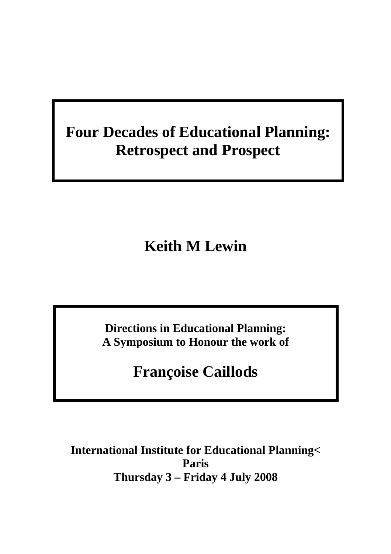# **Four Decades of Educational Planning: Retrospect and Prospect**

**Keith M Lewin** 

**Directions in Educational Planning: A Symposium to Honour the work of** 

**Françoise Caillods** 

**International Institute for Educational Planning< Paris Thursday 3 – Friday 4 July 2008**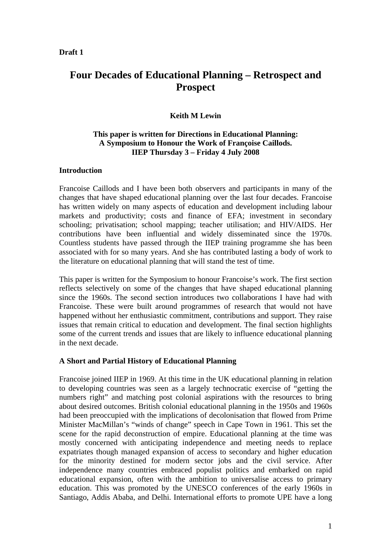# **Draft 1**

# **Four Decades of Educational Planning – Retrospect and Prospect**

# **Keith M Lewin**

# **This paper is written for Directions in Educational Planning: A Symposium to Honour the Work of Françoise Caillods. IIEP Thursday 3 – Friday 4 July 2008**

# **Introduction**

Francoise Caillods and I have been both observers and participants in many of the changes that have shaped educational planning over the last four decades. Francoise has written widely on many aspects of education and development including labour markets and productivity; costs and finance of EFA; investment in secondary schooling; privatisation; school mapping; teacher utilisation; and HIV/AIDS. Her contributions have been influential and widely disseminated since the 1970s. Countless students have passed through the IIEP training programme she has been associated with for so many years. And she has contributed lasting a body of work to the literature on educational planning that will stand the test of time.

This paper is written for the Symposium to honour Francoise's work. The first section reflects selectively on some of the changes that have shaped educational planning since the 1960s. The second section introduces two collaborations I have had with Francoise. These were built around programmes of research that would not have happened without her enthusiastic commitment, contributions and support. They raise issues that remain critical to education and development. The final section highlights some of the current trends and issues that are likely to influence educational planning in the next decade.

# **A Short and Partial History of Educational Planning**

Francoise joined IIEP in 1969. At this time in the UK educational planning in relation to developing countries was seen as a largely technocratic exercise of "getting the numbers right" and matching post colonial aspirations with the resources to bring about desired outcomes. British colonial educational planning in the 1950s and 1960s had been preoccupied with the implications of decolonisation that flowed from Prime Minister MacMillan's "winds of change" speech in Cape Town in 1961. This set the scene for the rapid deconstruction of empire. Educational planning at the time was mostly concerned with anticipating independence and meeting needs to replace expatriates though managed expansion of access to secondary and higher education for the minority destined for modern sector jobs and the civil service. After independence many countries embraced populist politics and embarked on rapid educational expansion, often with the ambition to universalise access to primary education. This was promoted by the UNESCO conferences of the early 1960s in Santiago, Addis Ababa, and Delhi. International efforts to promote UPE have a long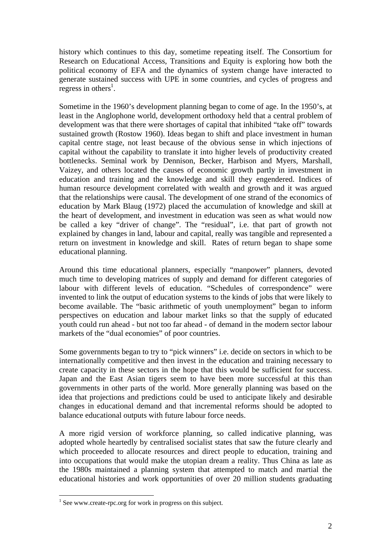history which continues to this day, sometime repeating itself. The Consortium for Research on Educational Access, Transitions and Equity is exploring how both the political economy of EFA and the dynamics of system change have interacted to generate sustained success with UPE in some countries, and cycles of progress and regress in others<sup>1</sup>.

Sometime in the 1960's development planning began to come of age. In the 1950's, at least in the Anglophone world, development orthodoxy held that a central problem of development was that there were shortages of capital that inhibited "take off" towards sustained growth (Rostow 1960). Ideas began to shift and place investment in human capital centre stage, not least because of the obvious sense in which injections of capital without the capability to translate it into higher levels of productivity created bottlenecks. Seminal work by Dennison, Becker, Harbison and Myers, Marshall, Vaizey, and others located the causes of economic growth partly in investment in education and training and the knowledge and skill they engendered. Indices of human resource development correlated with wealth and growth and it was argued that the relationships were causal. The development of one strand of the economics of education by Mark Blaug (1972) placed the accumulation of knowledge and skill at the heart of development, and investment in education was seen as what would now be called a key "driver of change". The "residual", i.e. that part of growth not explained by changes in land, labour and capital, really was tangible and represented a return on investment in knowledge and skill. Rates of return began to shape some educational planning.

Around this time educational planners, especially "manpower" planners, devoted much time to developing matrices of supply and demand for different categories of labour with different levels of education. "Schedules of correspondence" were invented to link the output of education systems to the kinds of jobs that were likely to become available. The "basic arithmetic of youth unemployment" began to inform perspectives on education and labour market links so that the supply of educated youth could run ahead - but not too far ahead - of demand in the modern sector labour markets of the "dual economies" of poor countries.

Some governments began to try to "pick winners" i.e. decide on sectors in which to be internationally competitive and then invest in the education and training necessary to create capacity in these sectors in the hope that this would be sufficient for success. Japan and the East Asian tigers seem to have been more successful at this than governments in other parts of the world. More generally planning was based on the idea that projections and predictions could be used to anticipate likely and desirable changes in educational demand and that incremental reforms should be adopted to balance educational outputs with future labour force needs.

A more rigid version of workforce planning, so called indicative planning, was adopted whole heartedly by centralised socialist states that saw the future clearly and which proceeded to allocate resources and direct people to education, training and into occupations that would make the utopian dream a reality. Thus China as late as the 1980s maintained a planning system that attempted to match and martial the educational histories and work opportunities of over 20 million students graduating

<sup>&</sup>lt;sup>1</sup> See www.create-rpc.org for work in progress on this subject.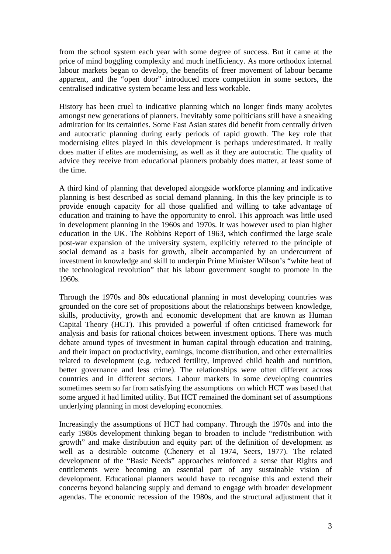from the school system each year with some degree of success. But it came at the price of mind boggling complexity and much inefficiency. As more orthodox internal labour markets began to develop, the benefits of freer movement of labour became apparent, and the "open door" introduced more competition in some sectors, the centralised indicative system became less and less workable.

History has been cruel to indicative planning which no longer finds many acolytes amongst new generations of planners. Inevitably some politicians still have a sneaking admiration for its certainties. Some East Asian states did benefit from centrally driven and autocratic planning during early periods of rapid growth. The key role that modernising elites played in this development is perhaps underestimated. It really does matter if elites are modernising, as well as if they are autocratic. The quality of advice they receive from educational planners probably does matter, at least some of the time.

A third kind of planning that developed alongside workforce planning and indicative planning is best described as social demand planning. In this the key principle is to provide enough capacity for all those qualified and willing to take advantage of education and training to have the opportunity to enrol. This approach was little used in development planning in the 1960s and 1970s. It was however used to plan higher education in the UK. The Robbins Report of 1963, which confirmed the large scale post-war expansion of the university system, explicitly referred to the principle of social demand as a basis for growth, albeit accompanied by an undercurrent of investment in knowledge and skill to underpin Prime Minister Wilson's "white heat of the technological revolution" that his labour government sought to promote in the 1960s.

Through the 1970s and 80s educational planning in most developing countries was grounded on the core set of propositions about the relationships between knowledge, skills, productivity, growth and economic development that are known as Human Capital Theory (HCT). This provided a powerful if often criticised framework for analysis and basis for rational choices between investment options. There was much debate around types of investment in human capital through education and training, and their impact on productivity, earnings, income distribution, and other externalities related to development (e.g. reduced fertility, improved child health and nutrition, better governance and less crime). The relationships were often different across countries and in different sectors. Labour markets in some developing countries sometimes seem so far from satisfying the assumptions on which HCT was based that some argued it had limited utility. But HCT remained the dominant set of assumptions underlying planning in most developing economies.

Increasingly the assumptions of HCT had company. Through the 1970s and into the early 1980s development thinking began to broaden to include "redistribution with growth" and make distribution and equity part of the definition of development as well as a desirable outcome (Chenery et al 1974, Seers, 1977). The related development of the "Basic Needs" approaches reinforced a sense that Rights and entitlements were becoming an essential part of any sustainable vision of development. Educational planners would have to recognise this and extend their concerns beyond balancing supply and demand to engage with broader development agendas. The economic recession of the 1980s, and the structural adjustment that it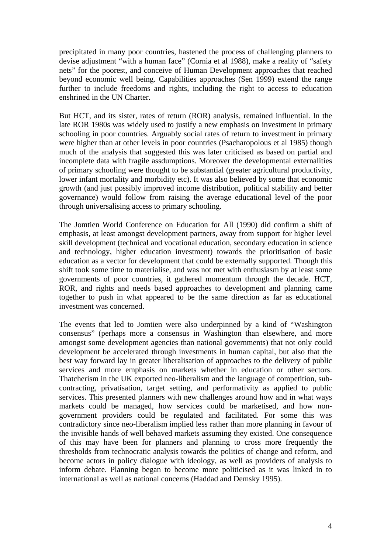precipitated in many poor countries, hastened the process of challenging planners to devise adjustment "with a human face" (Cornia et al 1988), make a reality of "safety nets" for the poorest, and conceive of Human Development approaches that reached beyond economic well being. Capabilities approaches (Sen 1999) extend the range further to include freedoms and rights, including the right to access to education enshrined in the UN Charter.

But HCT, and its sister, rates of return (ROR) analysis, remained influential. In the late ROR 1980s was widely used to justify a new emphasis on investment in primary schooling in poor countries. Arguably social rates of return to investment in primary were higher than at other levels in poor countries (Psacharopolous et al 1985) though much of the analysis that suggested this was later criticised as based on partial and incomplete data with fragile assdumptions. Moreover the developmental externalities of primary schooling were thought to be substantial (greater agricultural productivity, lower infant mortality and morbidity etc). It was also believed by some that economic growth (and just possibly improved income distribution, political stability and better governance) would follow from raising the average educational level of the poor through universalising access to primary schooling.

The Jomtien World Conference on Education for All (1990) did confirm a shift of emphasis, at least amongst development partners, away from support for higher level skill development (technical and vocational education, secondary education in science and technology, higher education investment) towards the prioritisation of basic education as a vector for development that could be externally supported. Though this shift took some time to materialise, and was not met with enthusiasm by at least some governments of poor countries, it gathered momentum through the decade. HCT, ROR, and rights and needs based approaches to development and planning came together to push in what appeared to be the same direction as far as educational investment was concerned.

The events that led to Jomtien were also underpinned by a kind of "Washington consensus" (perhaps more a consensus in Washington than elsewhere, and more amongst some development agencies than national governments) that not only could development be accelerated through investments in human capital, but also that the best way forward lay in greater liberalisation of approaches to the delivery of public services and more emphasis on markets whether in education or other sectors. Thatcherism in the UK exported neo-liberalism and the language of competition, subcontracting, privatisation, target setting, and performativity as applied to public services. This presented planners with new challenges around how and in what ways markets could be managed, how services could be marketised, and how nongovernment providers could be regulated and facilitated. For some this was contradictory since neo-liberalism implied less rather than more planning in favour of the invisible hands of well behaved markets assuming they existed. One consequence of this may have been for planners and planning to cross more frequently the thresholds from technocratic analysis towards the politics of change and reform, and become actors in policy dialogue with ideology, as well as providers of analysis to inform debate. Planning began to become more politicised as it was linked in to international as well as national concerns (Haddad and Demsky 1995).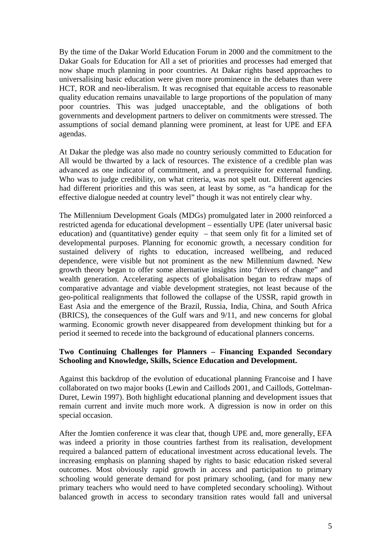By the time of the Dakar World Education Forum in 2000 and the commitment to the Dakar Goals for Education for All a set of priorities and processes had emerged that now shape much planning in poor countries. At Dakar rights based approaches to universalising basic education were given more prominence in the debates than were HCT, ROR and neo-liberalism. It was recognised that equitable access to reasonable quality education remains unavailable to large proportions of the population of many poor countries. This was judged unacceptable, and the obligations of both governments and development partners to deliver on commitments were stressed. The assumptions of social demand planning were prominent, at least for UPE and EFA agendas.

At Dakar the pledge was also made no country seriously committed to Education for All would be thwarted by a lack of resources. The existence of a credible plan was advanced as one indicator of commitment, and a prerequisite for external funding. Who was to judge credibility, on what criteria, was not spelt out. Different agencies had different priorities and this was seen, at least by some, as "a handicap for the effective dialogue needed at country level" though it was not entirely clear why.

The Millennium Development Goals (MDGs) promulgated later in 2000 reinforced a restricted agenda for educational development – essentially UPE (later universal basic education) and (quantitative) gender equity – that seem only fit for a limited set of developmental purposes. Planning for economic growth, a necessary condition for sustained delivery of rights to education, increased wellbeing, and reduced dependence, were visible but not prominent as the new Millennium dawned. New growth theory began to offer some alternative insights into "drivers of change" and wealth generation. Accelerating aspects of globalisation began to redraw maps of comparative advantage and viable development strategies, not least because of the geo-political realignments that followed the collapse of the USSR, rapid growth in East Asia and the emergence of the Brazil, Russia, India, China, and South Africa (BRICS), the consequences of the Gulf wars and 9/11, and new concerns for global warming. Economic growth never disappeared from development thinking but for a period it seemed to recede into the background of educational planners concerns.

# **Two Continuing Challenges for Planners – Financing Expanded Secondary Schooling and Knowledge, Skills, Science Education and Development.**

Against this backdrop of the evolution of educational planning Francoise and I have collaborated on two major books (Lewin and Caillods 2001, and Caillods, Gottelman-Duret, Lewin 1997). Both highlight educational planning and development issues that remain current and invite much more work. A digression is now in order on this special occasion.

After the Jomtien conference it was clear that, though UPE and, more generally, EFA was indeed a priority in those countries farthest from its realisation, development required a balanced pattern of educational investment across educational levels. The increasing emphasis on planning shaped by rights to basic education risked several outcomes. Most obviously rapid growth in access and participation to primary schooling would generate demand for post primary schooling, (and for many new primary teachers who would need to have completed secondary schooling). Without balanced growth in access to secondary transition rates would fall and universal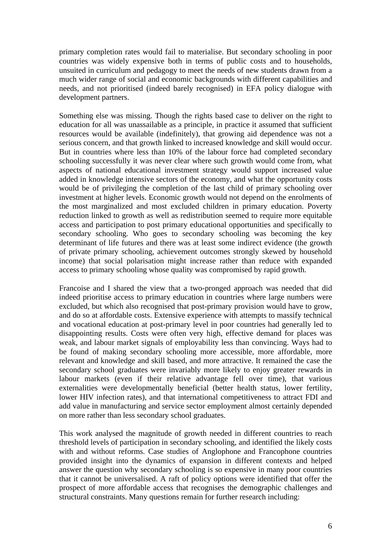primary completion rates would fail to materialise. But secondary schooling in poor countries was widely expensive both in terms of public costs and to households, unsuited in curriculum and pedagogy to meet the needs of new students drawn from a much wider range of social and economic backgrounds with different capabilities and needs, and not prioritised (indeed barely recognised) in EFA policy dialogue with development partners.

Something else was missing. Though the rights based case to deliver on the right to education for all was unassailable as a principle, in practice it assumed that sufficient resources would be available (indefinitely), that growing aid dependence was not a serious concern, and that growth linked to increased knowledge and skill would occur. But in countries where less than 10% of the labour force had completed secondary schooling successfully it was never clear where such growth would come from, what aspects of national educational investment strategy would support increased value added in knowledge intensive sectors of the economy, and what the opportunity costs would be of privileging the completion of the last child of primary schooling over investment at higher levels. Economic growth would not depend on the enrolments of the most marginalized and most excluded children in primary education. Poverty reduction linked to growth as well as redistribution seemed to require more equitable access and participation to post primary educational opportunities and specifically to secondary schooling. Who goes to secondary schooling was becoming the key determinant of life futures and there was at least some indirect evidence (the growth of private primary schooling, achievement outcomes strongly skewed by household income) that social polarisation might increase rather than reduce with expanded access to primary schooling whose quality was compromised by rapid growth.

Francoise and I shared the view that a two-pronged approach was needed that did indeed prioritise access to primary education in countries where large numbers were excluded, but which also recognised that post-primary provision would have to grow, and do so at affordable costs. Extensive experience with attempts to massify technical and vocational education at post-primary level in poor countries had generally led to disappointing results. Costs were often very high, effective demand for places was weak, and labour market signals of employability less than convincing. Ways had to be found of making secondary schooling more accessible, more affordable, more relevant and knowledge and skill based, and more attractive. It remained the case the secondary school graduates were invariably more likely to enjoy greater rewards in labour markets (even if their relative advantage fell over time), that various externalities were developmentally beneficial (better health status, lower fertility, lower HIV infection rates), and that international competitiveness to attract FDI and add value in manufacturing and service sector employment almost certainly depended on more rather than less secondary school graduates.

This work analysed the magnitude of growth needed in different countries to reach threshold levels of participation in secondary schooling, and identified the likely costs with and without reforms. Case studies of Anglophone and Francophone countries provided insight into the dynamics of expansion in different contexts and helped answer the question why secondary schooling is so expensive in many poor countries that it cannot be universalised. A raft of policy options were identified that offer the prospect of more affordable access that recognises the demographic challenges and structural constraints. Many questions remain for further research including: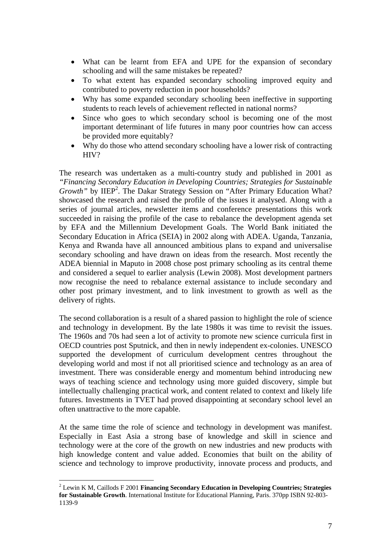- What can be learnt from EFA and UPE for the expansion of secondary schooling and will the same mistakes be repeated?
- To what extent has expanded secondary schooling improved equity and contributed to poverty reduction in poor households?
- Why has some expanded secondary schooling been ineffective in supporting students to reach levels of achievement reflected in national norms?
- Since who goes to which secondary school is becoming one of the most important determinant of life futures in many poor countries how can access be provided more equitably?
- Why do those who attend secondary schooling have a lower risk of contracting HIV?

The research was undertaken as a multi-country study and published in 2001 as *"Financing Secondary Education in Developing Countries; Strategies for Sustainable*  Growth" by IIEP<sup>2</sup>. The Dakar Strategy Session on "After Primary Education What? showcased the research and raised the profile of the issues it analysed. Along with a series of journal articles, newsletter items and conference presentations this work succeeded in raising the profile of the case to rebalance the development agenda set by EFA and the Millennium Development Goals. The World Bank initiated the Secondary Education in Africa (SEIA) in 2002 along with ADEA. Uganda, Tanzania, Kenya and Rwanda have all announced ambitious plans to expand and universalise secondary schooling and have drawn on ideas from the research. Most recently the ADEA biennial in Maputo in 2008 chose post primary schooling as its central theme and considered a sequel to earlier analysis (Lewin 2008). Most development partners now recognise the need to rebalance external assistance to include secondary and other post primary investment, and to link investment to growth as well as the delivery of rights.

The second collaboration is a result of a shared passion to highlight the role of science and technology in development. By the late 1980s it was time to revisit the issues. The 1960s and 70s had seen a lot of activity to promote new science curricula first in OECD countries post Sputnick, and then in newly independent ex-colonies. UNESCO supported the development of curriculum development centres throughout the developing world and most if not all prioritised science and technology as an area of investment. There was considerable energy and momentum behind introducing new ways of teaching science and technology using more guided discovery, simple but intellectually challenging practical work, and content related to context and likely life futures. Investments in TVET had proved disappointing at secondary school level an often unattractive to the more capable.

At the same time the role of science and technology in development was manifest. Especially in East Asia a strong base of knowledge and skill in science and technology were at the core of the growth on new industries and new products with high knowledge content and value added. Economies that built on the ability of science and technology to improve productivity, innovate process and products, and

 $\overline{a}$ 

<sup>2</sup> Lewin K M, Caillods F 2001 **Financing Secondary Education in Developing Countries; Strategies for Sustainable Growth**. International Institute for Educational Planning, Paris. 370pp ISBN 92-803- 1139-9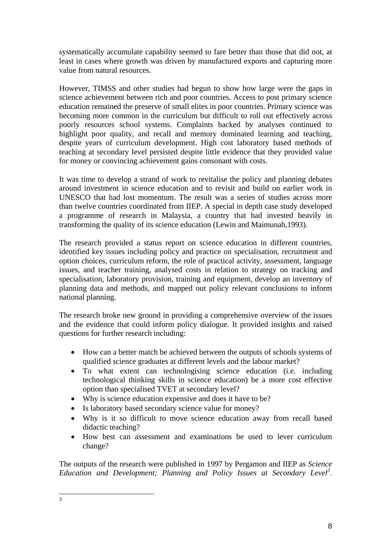systematically accumulate capability seemed to fare better than those that did not, at least in cases where growth was driven by manufactured exports and capturing more value from natural resources.

However, TIMSS and other studies had begun to show how large were the gaps in science achievement between rich and poor countries. Access to post primary science education remained the preserve of small elites in poor countries. Primary science was becoming more common in the curriculum but difficult to roll out effectively across poorly resources school systems. Complaints backed by analyses continued to highlight poor quality, and recall and memory dominated learning and teaching, despite years of curriculum development. High cost laboratory based methods of teaching at secondary level persisted despite little evidence that they provided value for money or convincing achievement gains consonant with costs.

It was time to develop a strand of work to revitalise the policy and planning debates around investment in science education and to revisit and build on earlier work in UNESCO that had lost momentum. The result was a series of studies across more than twelve countries coordinated from IIEP. A special in depth case study developed a programme of research in Malaysia, a country that had invested heavily in transforming the quality of its science education (Lewin and Maimunah,1993).

The research provided a status report on science education in different countries, identified key issues including policy and practice on specialisation, recruitment and option choices, curriculum reform, the role of practical activity, assessment, language issues, and teacher training, analysed costs in relation to strategy on tracking and specialisation, laboratory provision, training and equipment, develop an inventory of planning data and methods, and mapped out policy relevant conclusions to inform national planning.

The research broke new ground in providing a comprehensive overview of the issues and the evidence that could inform policy dialogue. It provided insights and raised questions for further research including:

- How can a better match be achieved between the outputs of schools systems of qualified science graduates at different levels and the labour market?
- To what extent can technologising science education (i.e. including technological thinking skills in science education) be a more cost effective option than specialised TVET at secondary level?
- Why is science education expensive and does it have to be?
- Is laboratory based secondary science value for money?
- Why is it so difficult to move science education away from recall based didactic teaching?
- How best can assessment and examinations be used to lever curriculum change?

The outputs of the research were published in 1997 by Pergamon and IIEP as *Science*  Education and Development; Planning and Policy Issues at Secondary Level<sup>3</sup>.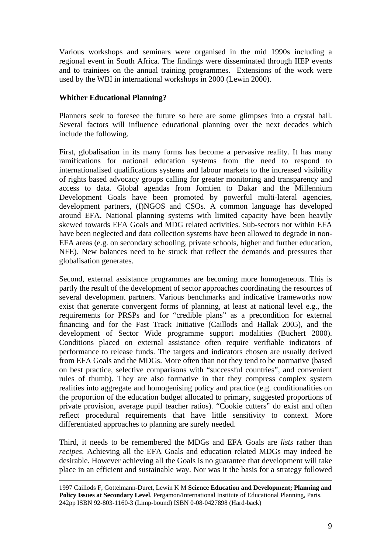Various workshops and seminars were organised in the mid 1990s including a regional event in South Africa. The findings were disseminated through IIEP events and to trainiees on the annual training programmes. Extensions of the work were used by the WBI in international workshops in 2000 (Lewin 2000).

# **Whither Educational Planning?**

Planners seek to foresee the future so here are some glimpses into a crystal ball. Several factors will influence educational planning over the next decades which include the following.

First, globalisation in its many forms has become a pervasive reality. It has many ramifications for national education systems from the need to respond to internationalised qualifications systems and labour markets to the increased visibility of rights based advocacy groups calling for greater monitoring and transparency and access to data. Global agendas from Jomtien to Dakar and the Millennium Development Goals have been promoted by powerful multi-lateral agencies, development partners, (I)NGOS and CSOs. A common language has developed around EFA. National planning systems with limited capacity have been heavily skewed towards EFA Goals and MDG related activities. Sub-sectors not within EFA have been neglected and data collection systems have been allowed to degrade in non-EFA areas (e.g. on secondary schooling, private schools, higher and further education, NFE). New balances need to be struck that reflect the demands and pressures that globalisation generates.

Second, external assistance programmes are becoming more homogeneous. This is partly the result of the development of sector approaches coordinating the resources of several development partners. Various benchmarks and indicative frameworks now exist that generate convergent forms of planning, at least at national level e.g., the requirements for PRSPs and for "credible plans" as a precondition for external financing and for the Fast Track Initiative (Caillods and Hallak 2005), and the development of Sector Wide programme support modalities (Buchert 2000). Conditions placed on external assistance often require verifiable indicators of performance to release funds. The targets and indicators chosen are usually derived from EFA Goals and the MDGs. More often than not they tend to be normative (based on best practice, selective comparisons with "successful countries", and convenient rules of thumb). They are also formative in that they compress complex system realities into aggregate and homogenising policy and practice (e.g. conditionalities on the proportion of the education budget allocated to primary, suggested proportions of private provision, average pupil teacher ratios). "Cookie cutters" do exist and often reflect procedural requirements that have little sensitivity to context. More differentiated approaches to planning are surely needed.

Third, it needs to be remembered the MDGs and EFA Goals are *lists* rather than *recipes*. Achieving all the EFA Goals and education related MDGs may indeed be desirable. However achieving all the Goals is no guarantee that development will take place in an efficient and sustainable way. Nor was it the basis for a strategy followed

 <sup>1997</sup> Caillods F, Gottelmann-Duret, Lewin K M **Science Education and Development; Planning and Policy Issues at Secondary Level**. Pergamon/International Institute of Educational Planning, Paris. 242pp ISBN 92-803-1160-3 (Limp-bound) ISBN 0-08-0427898 (Hard-back)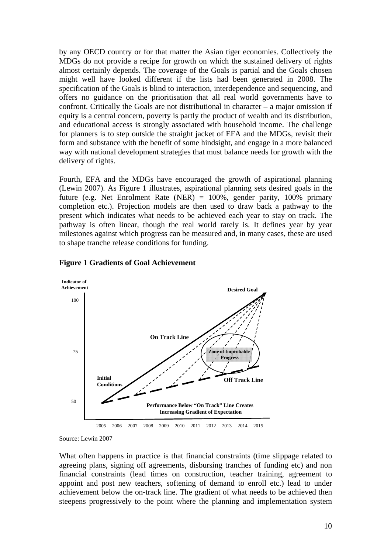by any OECD country or for that matter the Asian tiger economies. Collectively the MDGs do not provide a recipe for growth on which the sustained delivery of rights almost certainly depends. The coverage of the Goals is partial and the Goals chosen might well have looked different if the lists had been generated in 2008. The specification of the Goals is blind to interaction, interdependence and sequencing, and offers no guidance on the prioritisation that all real world governments have to confront. Critically the Goals are not distributional in character – a major omission if equity is a central concern, poverty is partly the product of wealth and its distribution, and educational access is strongly associated with household income. The challenge for planners is to step outside the straight jacket of EFA and the MDGs, revisit their form and substance with the benefit of some hindsight, and engage in a more balanced way with national development strategies that must balance needs for growth with the delivery of rights.

Fourth, EFA and the MDGs have encouraged the growth of aspirational planning (Lewin 2007). As Figure 1 illustrates, aspirational planning sets desired goals in the future (e.g. Net Enrolment Rate (NER) = 100%, gender parity, 100% primary completion etc.). Projection models are then used to draw back a pathway to the present which indicates what needs to be achieved each year to stay on track. The pathway is often linear, though the real world rarely is. It defines year by year milestones against which progress can be measured and, in many cases, these are used to shape tranche release conditions for funding.



#### **Figure 1 Gradients of Goal Achievement**

What often happens in practice is that financial constraints (time slippage related to agreeing plans, signing off agreements, disbursing tranches of funding etc) and non financial constraints (lead times on construction, teacher training, agreement to appoint and post new teachers, softening of demand to enroll etc.) lead to under achievement below the on-track line. The gradient of what needs to be achieved then steepens progressively to the point where the planning and implementation system

Source: Lewin 2007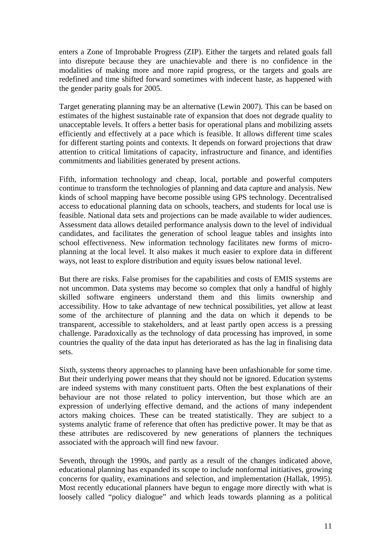enters a Zone of Improbable Progress (ZIP). Either the targets and related goals fall into disrepute because they are unachievable and there is no confidence in the modalities of making more and more rapid progress, or the targets and goals are redefined and time shifted forward sometimes with indecent haste, as happened with the gender parity goals for 2005.

Target generating planning may be an alternative (Lewin 2007). This can be based on estimates of the highest sustainable rate of expansion that does not degrade quality to unacceptable levels. It offers a better basis for operational plans and mobilizing assets efficiently and effectively at a pace which is feasible. It allows different time scales for different starting points and contexts. It depends on forward projections that draw attention to critical limitations of capacity, infrastructure and finance, and identifies commitments and liabilities generated by present actions.

Fifth, information technology and cheap, local, portable and powerful computers continue to transform the technologies of planning and data capture and analysis. New kinds of school mapping have become possible using GPS technology. Decentralised access to educational planning data on schools, teachers, and students for local use is feasible. National data sets and projections can be made available to wider audiences. Assessment data allows detailed performance analysis down to the level of individual candidates, and facilitates the generation of school league tables and insights into school effectiveness. New information technology facilitates new forms of microplanning at the local level. It also makes it much easier to explore data in different ways, not least to explore distribution and equity issues below national level.

But there are risks. False promises for the capabilities and costs of EMIS systems are not uncommon. Data systems may become so complex that only a handful of highly skilled software engineers understand them and this limits ownership and accessibility. How to take advantage of new technical possibilities, yet allow at least some of the architecture of planning and the data on which it depends to be transparent, accessible to stakeholders, and at least partly open access is a pressing challenge. Paradoxically as the technology of data processing has improved, in some countries the quality of the data input has deteriorated as has the lag in finalising data sets.

Sixth, systems theory approaches to planning have been unfashionable for some time. But their underlying power means that they should not be ignored. Education systems are indeed systems with many constituent parts. Often the best explanations of their behaviour are not those related to policy intervention, but those which are an expression of underlying effective demand, and the actions of many independent actors making choices. These can be treated statistically. They are subject to a systems analytic frame of reference that often has predictive power. It may be that as these attributes are rediscovered by new generations of planners the techniques associated with the approach will find new favour.

Seventh, through the 1990s, and partly as a result of the changes indicated above, educational planning has expanded its scope to include nonformal initiatives, growing concerns for quality, examinations and selection, and implementation (Hallak, 1995). Most recently educational planners have begun to engage more directly with what is loosely called "policy dialogue" and which leads towards planning as a political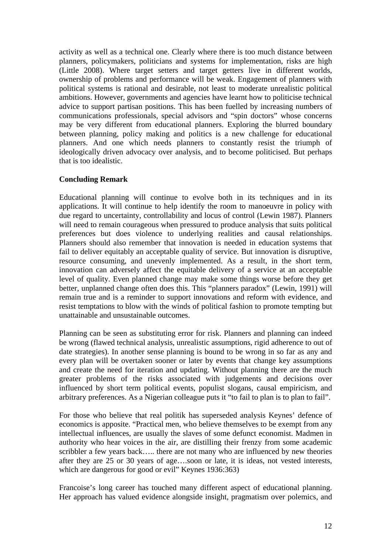activity as well as a technical one. Clearly where there is too much distance between planners, policymakers, politicians and systems for implementation, risks are high (Little 2008). Where target setters and target getters live in different worlds, ownership of problems and performance will be weak. Engagement of planners with political systems is rational and desirable, not least to moderate unrealistic political ambitions. However, governments and agencies have learnt how to politicise technical advice to support partisan positions. This has been fuelled by increasing numbers of communications professionals, special advisors and "spin doctors" whose concerns may be very different from educational planners. Exploring the blurred boundary between planning, policy making and politics is a new challenge for educational planners. And one which needs planners to constantly resist the triumph of ideologically driven advocacy over analysis, and to become politicised. But perhaps that is too idealistic.

#### **Concluding Remark**

Educational planning will continue to evolve both in its techniques and in its applications. It will continue to help identify the room to manoeuvre in policy with due regard to uncertainty, controllability and locus of control (Lewin 1987). Planners will need to remain courageous when pressured to produce analysis that suits political preferences but does violence to underlying realities and causal relationships. Planners should also remember that innovation is needed in education systems that fail to deliver equitably an acceptable quality of service. But innovation is disruptive, resource consuming, and unevenly implemented. As a result, in the short term, innovation can adversely affect the equitable delivery of a service at an acceptable level of quality. Even planned change may make some things worse before they get better, unplanned change often does this. This "planners paradox" (Lewin, 1991) will remain true and is a reminder to support innovations and reform with evidence, and resist temptations to blow with the winds of political fashion to promote tempting but unattainable and unsustainable outcomes.

Planning can be seen as substituting error for risk. Planners and planning can indeed be wrong (flawed technical analysis, unrealistic assumptions, rigid adherence to out of date strategies). In another sense planning is bound to be wrong in so far as any and every plan will be overtaken sooner or later by events that change key assumptions and create the need for iteration and updating. Without planning there are the much greater problems of the risks associated with judgements and decisions over influenced by short term political events, populist slogans, causal empiricism, and arbitrary preferences. As a Nigerian colleague puts it "to fail to plan is to plan to fail".

For those who believe that real politik has superseded analysis Keynes' defence of economics is apposite. "Practical men, who believe themselves to be exempt from any intellectual influences, are usually the slaves of some defunct economist. Madmen in authority who hear voices in the air, are distilling their frenzy from some academic scribbler a few years back….. there are not many who are influenced by new theories after they are 25 or 30 years of age….soon or late, it is ideas, not vested interests, which are dangerous for good or evil" Keynes 1936:363)

Francoise's long career has touched many different aspect of educational planning. Her approach has valued evidence alongside insight, pragmatism over polemics, and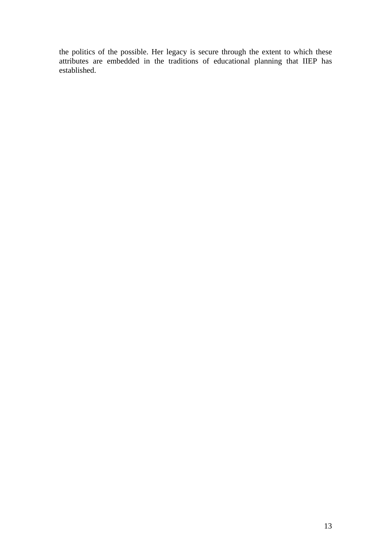the politics of the possible. Her legacy is secure through the extent to which these attributes are embedded in the traditions of educational planning that IIEP has established.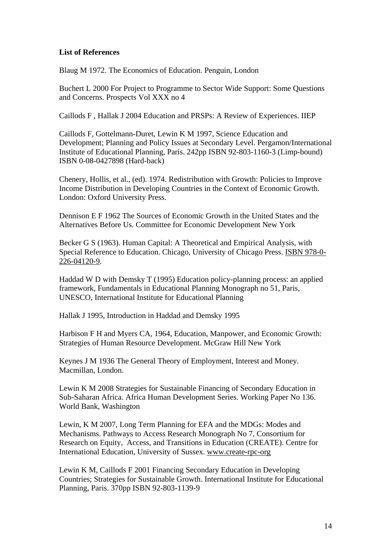# **List of References**

Blaug M 1972. The Economics of Education. Penguin, London

Buchert L 2000 For Project to Programme to Sector Wide Support: Some Questions and Concerns. Prospects Vol XXX no 4

Caillods F , Hallak J 2004 Education and PRSPs: A Review of Experiences. IIEP

Caillods F, Gottelmann-Duret, Lewin K M 1997, Science Education and Development; Planning and Policy Issues at Secondary Level. Pergamon/International Institute of Educational Planning, Paris. 242pp ISBN 92-803-1160-3 (Limp-bound) ISBN 0-08-0427898 (Hard-back)

Chenery, Hollis, et al., (ed). 1974. Redistribution with Growth: Policies to Improve Income Distribution in Developing Countries in the Context of Economic Growth. London: Oxford University Press.

Dennison E F 1962 The Sources of Economic Growth in the United States and the Alternatives Before Us. Committee for Economic Development New York

Becker G S (1963). Human Capital: A Theoretical and Empirical Analysis, with Special Reference to Education. Chicago, University of Chicago Press. ISBN 978-0- 226-04120-9.

Haddad W D with Demsky T (1995) Education policy-planning process: an applied framework, Fundamentals in Educational Planning Monograph no 51, Paris, UNESCO, International Institute for Educational Planning

Hallak J 1995, Introduction in Haddad and Demsky 1995

Harbison F H and Myers CA, 1964, Education, Manpower, and Economic Growth: Strategies of Human Resource Development. McGraw Hill New York

Keynes J M 1936 The General Theory of Employment, Interest and Money. Macmillan, London.

Lewin K M 2008 Strategies for Sustainable Financing of Secondary Education in Sub-Saharan Africa. Africa Human Development Series. Working Paper No 136. World Bank, Washington

Lewin, K M 2007, Long Term Planning for EFA and the MDGs: Modes and Mechanisms. Pathways to Access Research Monograph No 7, Consortium for Research on Equity, Access, and Transitions in Education (CREATE). Centre for International Education, University of Sussex. www.create-rpc-org

Lewin K M, Caillods F 2001 Financing Secondary Education in Developing Countries; Strategies for Sustainable Growth. International Institute for Educational Planning, Paris. 370pp ISBN 92-803-1139-9